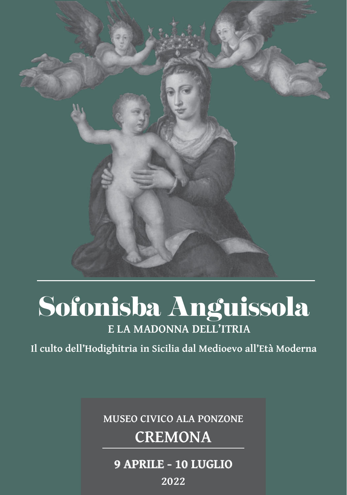

# Sofonisba Anguissola **E LA MADONNA DELL'ITRIA**

**Il culto dell'Hodighitria in Sicilia dal Medioevo all'Età Moderna**

#### **MUSEO CIVICO ALA PONZONE**

## **CREMONA**

### **9 APRILE - 10 LUGLIO**

**2022**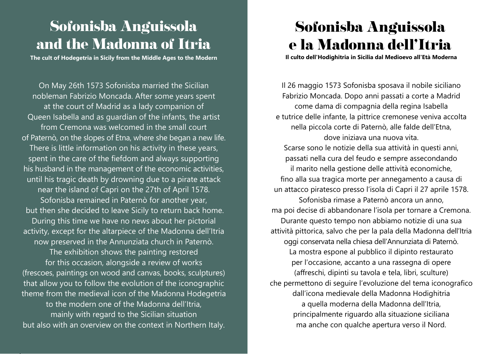# Sofonisba Anguissola and the Madonna of Itria

**The cult of Hodegetria in Sicily from the Middle Ages to the Modern**

On May 26th 1573 Sofonisba married the Sicilian nobleman Fabrizio Moncada. After some years spent at the court of Madrid as a lady companion of Queen Isabella and as guardian of the infants, the artist from Cremona was welcomed in the small court of Paternò, on the slopes of Etna, where she began a new life. There is little information on his activity in these years, spent in the care of the fiefdom and always supporting his husband in the management of the economic activities, until his tragic death by drowning due to a pirate attack near the island of Capri on the 27th of April 1578. Sofonisba remained in Paternò for another year, but then she decided to leave Sicily to return back home. During this time we have no news about her pictorial activity, except for the altarpiece of the Madonna dell'Itria now preserved in the Annunziata church in Paternò. The exhibition shows the painting restored for this occasion, alongside a review of works (frescoes, paintings on wood and canvas, books, sculptures) that allow you to follow the evolution of the iconographic theme from the medieval icon of the Madonna Hodegetria to the modern one of the Madonna dell'Itria, mainly with regard to the Sicilian situation but also with an overview on the context in Northern Italy.

# Sofonisba Anguissola e la Madonna dell'Itria

**Il culto dell'Hodighitria in Sicilia dal Medioevo all'Età Moderna**

Il 26 maggio 1573 Sofonisba sposava il nobile siciliano Fabrizio Moncada. Dopo anni passati a corte a Madrid come dama di compagnia della regina Isabella e tutrice delle infante, la pittrice cremonese veniva accolta nella piccola corte di Paternò, alle falde dell'Etna, dove iniziava una nuova vita. Scarse sono le notizie della sua attività in questi anni, passati nella cura del feudo e sempre assecondando il marito nella gestione delle attività economiche, fino alla sua tragica morte per annegamento a causa di un attacco piratesco presso l'isola di Capri il 27 aprile 1578. Sofonisba rimase a Paternò ancora un anno, ma poi decise di abbandonare l'isola per tornare a Cremona. Durante questo tempo non abbiamo notizie di una sua attività pittorica, salvo che per la pala della Madonna dell'Itria oggi conservata nella chiesa dell'Annunziata di Paternò. La mostra espone al pubblico il dipinto restaurato per l'occasione, accanto a una rassegna di opere (affreschi, dipinti su tavola e tela, libri, sculture) che permettono di seguire l'evoluzione del tema iconografico dall'icona medievale della Madonna Hodighitria a quella moderna della Madonna dell'Itria, principalmente riguardo alla situazione siciliana ma anche con qualche apertura verso il Nord.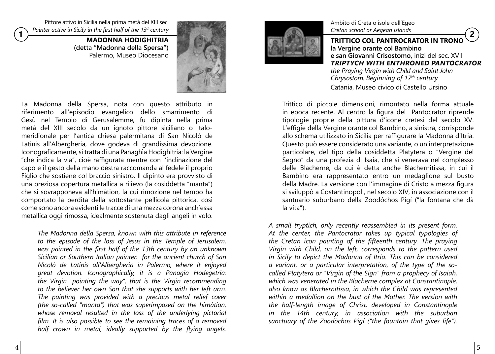Pittore attivo in Sicilia nella prima metà del XIII sec. *Painter active in Sicily in the first half of the 13th century*

> **MADONNA HODIGHITRIA (detta "Madonna della Spersa")** Palermo, Museo Diocesano



La Madonna della Spersa, nota con questo attributo in riferimento all'episodio evangelico dello smarrimento di Gesù nel Tempio di Gerusalemme, fu dipinta nella prima metà del XIII secolo da un ignoto pittore siciliano o italomeridionale per l'antica chiesa palermitana di San Nicolò de Latinis all'Albergheria, dove godeva di grandissima devozione. Iconograficamente, si tratta di una Panaghìa Hodighitria: la Vergine "che indica la via", cioè raffigurata mentre con l'inclinazione del capo e il gesto della mano destra raccomanda al fedele il proprio Figlio che sostiene col braccio sinistro. Il dipinto era provvisto di una preziosa copertura metallica a rilievo (la cosiddetta "manta") che si sovrapponeva all'himàtion, la cui rimozione nel tempo ha comportato la perdita della sottostante pellicola pittorica, così come sono ancora evidenti le tracce di una mezza corona anch'essa metallica oggi rimossa, idealmente sostenuta dagli angeli in volo.

*The Madonna della Spersa, known with this attribute in reference to the episode of the loss of Jesus in the Temple of Jerusalem, was painted in the first half of the 13th century by an unknown Sicilian or Southern Italian painter, for the ancient church of San Nicolò de Latinis all'Albergheria in Palermo, where it enjoyed great devotion. Iconographically, it is a Panagia Hodegetria: the Virgin "pointing the way", that is the Virgin recommending to the believer her own Son that she supports with her left arm. The painting was provided with a precious metal relief cover (the so-called "manta") that was superimposed on the himàtion, whose removal resulted in the loss of the underlying pictorial film. It is also possible to see the remaining traces of a removed half crown in metal, ideally supported by the flying angels.*



Ambito di Creta o isole dell'Egeo *Cretan school or Aegean Islands*

**1 2 EXECUTE COLUMN CONTROCRATOR IN TRONO la Vergine orante col Bambino e san Giovanni Crisostomo,** inizi del sec. XVII *TRIPTYCH WITH ENTHRONED PANTOCRATOR the Praying Virgin with Child and Saint John Chrysostom. Beginning of 17th century* Catania, Museo civico di Castello Ursino

> Trittico di piccole dimensioni, rimontato nella forma attuale in epoca recente. Al centro la figura del Pantocrator riprende tipologie proprie della pittura d'icone cretesi del secolo XV. L'effigie della Vergine orante col Bambino, a sinistra, corrisponde allo schema utilizzato in Sicilia per raffigurare la Madonna d'Itria. Questo può essere considerato una variante, o un'interpretazione particolare, del tipo della cosiddetta Platytera o "Vergine del Segno" da una profezia di Isaia, che si venerava nel complesso delle Blacherne, da cui è detta anche Blachernitissa, in cui il Bambino era rappresentato entro un medaglione sul busto della Madre. La versione con l'immagine di Cristo a mezza figura si sviluppò a Costantinopoli, nel secolo XIV, in associazione con il santuario suburbano della Zoodóchos Pigí ("la fontana che dà la vita").

*A small tryptich, only recently reassembled in its present form. At the center, the Pantocrator takes up typical typologies of the Cretan icon painting of the fifteenth century. The praying Virgin with Child, on the left, corresponds to the pattern used in Sicily to depict the Madonna of Itria. This can be considered a variant, or a particular interpretation, of the type of the socalled Platytera or "Virgin of the Sign" from a prophecy of Isaiah, which was venerated in the Blacherne complex at Constantinople, also know as Blachernitissa, in which the Child was represented within a medallion on the bust of the Mother. The version with the half-length image of Christ, developed in Constantinople in the 14th century, in association with the suburban sanctuary of the Zoodóchos Pigí ("the fountain that gives life").*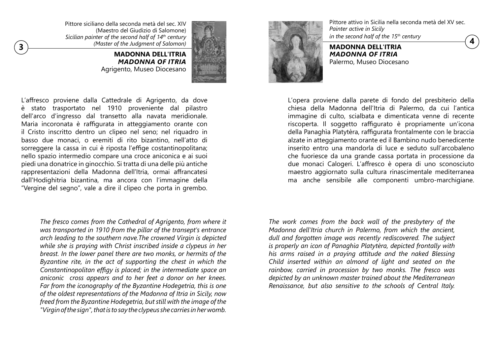**13 ANDONNA DELL'ITRIA** (*Master of the Judgment of Salomon*) (*A* Pittore siciliano della seconda metà del sec. XIV (Maestro del Giudizio di Salomone) *Sicilian painter of the second half of 14th century (Master of the Judgment of Salomon)*

**MADONNA DELL'ITRIA** *MADONNA OF ITRIA*  Agrigento, Museo Diocesano



L'affresco proviene dalla Cattedrale di Agrigento, da dove è stato trasportato nel 1910 proveniente dal pilastro dell'arco d'ingresso dal transetto alla navata meridionale. Maria incoronata è raffigurata in atteggiamento orante con il Cristo inscritto dentro un clipeo nel seno; nel riquadro in basso due monaci, o eremiti di rito bizantino, nell'atto di sorreggere la cassa in cui è riposta l'effige costantinopolitana; nello spazio intermedio compare una croce aniconica e ai suoi piedi una donatrice in ginocchio. Si tratta di una delle più antiche rappresentazioni della Madonna dell'Itria, ormai affrancatesi dall'Hodighitria bizantina, ma ancora con l'immagine della "Vergine del segno", vale a dire il clipeo che porta in grembo.

*The fresco comes from the Cathedral of Agrigento, from where it was transported in 1910 from the pillar of the transept's entrance arch leading to the southern nave.The crowned Virgin is depicted while she is praying with Christ inscribed inside a clypeus in her breast. In the lower panel there are two monks, or hermits of the Byzantine rite, in the act of supporting the chest in which the Constantinopolitan effigy is placed; in the intermediate space an aniconic cross appears and to her feet a donor on her knees. Far from the iconography of the Byzantine Hodegetria, this is one of the oldest representations of the Madonna of Itria in Sicily, now freed from the Byzantine Hodegetria, but still with the image of the "Virgin of the sign", that is to say the clypeus she carries in her womb.*

Pittore attivo in Sicilia nella seconda metà del XV sec. *Painter active in Sicily in the second half of the 15th century*

**MADONNA DELL'ITRIA** *MADONNA OF ITRIA*  Palermo, Museo Diocesano

L'opera proviene dalla parete di fondo del presbiterio della chiesa della Madonna dell'Itria di Palermo, da cui l'antica immagine di culto, scialbata e dimenticata venne di recente riscoperta. Il soggetto raffigurato è propriamente un'icona della Panaghìa Platytèra, raffigurata frontalmente con le braccia alzate in atteggiamento orante ed il Bambino nudo benedicente inserito entro una mandorla di luce e seduto sull'arcobaleno che fuoriesce da una grande cassa portata in processione da due monaci Calogeri. L'affresco è opera di uno sconosciuto maestro aggiornato sulla cultura rinascimentale mediterranea ma anche sensibile alle componenti umbro-marchigiane.

*The work comes from the back wall of the presbytery of the Madonna dell'Itria church in Palermo, from which the ancient, dull and forgotten image was recently rediscovered. The subject is properly an icon of Panaghìa Platytèra, depicted frontally with his arms raised in a praying attitude and the naked Blessing Child inserted within an almond of light and seated on the rainbow, carried in procession by two monks. The fresco was depicted by an unknown master trained about the Mediterranean Renaissance, but also sensitive to the schools of Central Italy.*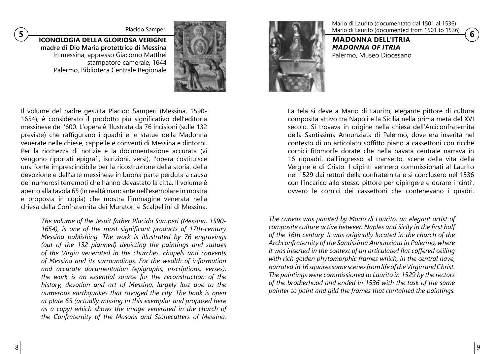**ICONOLOGIA DELLA GLORIOSA VERIGNE madre di Dio Maria protettrice di Messina** In messina, appresso Giacomo Matthei stampatore camerale, 1644 Palermo, Biblioteca Centrale Regionale



Il volume del padre gesuita Placido Samperi (Messina, 1590- 1654), è considerato il prodotto più significativo dell'editoria messinese del '600. L'opera è illustrata da 76 incisioni (sulle 132 previste) che raffigurano i quadri e le statue della Madonna venerate nelle chiese, cappelle e conventi di Messina e dintorni. Per la ricchezza di notizie e la documentazione accurata (vi vengono riportati epigrafi, iscrizioni, versi), l'opera costituisce una fonte imprescindibile per la ricostruzione della storia, della devozione e dell'arte messinese in buona parte perduta a causa dei numerosi terremoti che hanno devastato la città. Il volume è aperto alla tavola 65 (in realtà mancante nell'esemplare in mostra e proposta in copia) che mostra l'immagine venerata nella chiesa della Confraternita dei Muratori e Scalpellini di Messina.

> *The volume of the Jesuit father Placido Samperi (Messina, 1590- 1654), is one of the most significant products of 17th-century Messina publishing. The work is illustrated by 76 engravings (out of the 132 planned) depicting the paintings and statues of the Virgin venerated in the churches, chapels and convents of Messina and its surroundings. For the wealth of information and accurate documentation (epigraphs, inscriptions, verses), the work is an essential source for the reconstruction of the history, devotion and art of Messina, largely lost due to the numerous earthquakes that ravaged the city. The book is open at plate 65 (actually missing in this exemplar and proposed here as a copy) which shows the image venerated in the church of the Confraternity of the Masons and Stonecutters of Messina.*



Mario di Laurito (documentato dal 1501 al 1536)

**MADONNA DELL'ITRIA** *MADONNA OF ITRIA*  Palermo, Museo Diocesano

La tela si deve a Mario di Laurito, elegante pittore di cultura composita attivo tra Napoli e la Sicilia nella prima metà del XVI secolo. Si trovava in origine nella chiesa dell'Arciconfraternita della Santissima Annunziata di Palermo, dove era inserita nel contesto di un articolato soffitto piano a cassettoni con ricche cornici fitomorfe dorate che nella navata centrale narrava in 16 riquadri, dall'ingresso al transetto, scene della vita della Vergine e di Cristo. I dipinti vennero commissionati al Laurito nel 1529 dai rettori della confraternita e si conclusero nel 1536 con l'incarico allo stesso pittore per dipingere e dorare i 'cinti', ovvero le cornici dei cassettoni che contenevano i quadri.

*The canvas was painted by Mario di Laurito, an elegant artist of composite culture active between Naples and Sicily in the first half of the 16th century. It was originally located in the church of the Archconfraternity of the Santissima Annunziata in Palermo, where it was inserted in the context of an articulated flat coffered ceiling with rich golden phytomorphic frames which, in the central nave, narrated in 16 squares some scenes from life of the Virgin and Christ. The paintings were commissioned to Laurito in 1529 by the rectors of the brotherhood and ended in 1536 with the task of the same painter to paint and gild the frames that contained the paintings.*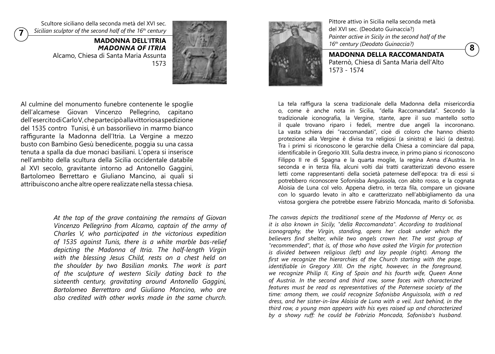Scultore siciliano della seconda metà del XVI sec. *Sicilian sculptor of the second half of the 16th century*

**7**

**MADONNA DELL'ITRIA** *MADONNA OF ITRIA* Alcamo, Chiesa di Santa Maria Assunta 1573



Al culmine del monumento funebre contenente le spoglie dell'alcamese Giovan Vincenzo Pellegrino, capitano dell'esercito di Carlo V, che partecipò alla vittoriosa spedizione del 1535 contro Tunisi, è un bassorilievo in marmo bianco raffigurante la Madonna dell'Itria. La Vergine a mezzo busto con Bambino Gesù benedicente, poggia su una cassa tenuta a spalla da due monaci basiliani. L'opera si inserisce nell'ambito della scultura della Sicilia occidentale databile al XVI secolo, gravitante intorno ad Antonello Gaggini, Bartolomeo Berrettaro e Giuliano Mancino, ai quali si attribuiscono anche altre opere realizzate nella stessa chiesa.

> *At the top of the grave containing the remains of Giovan Vincenzo Pellegrino from Alcamo, captain of the army of Charles V, who participated in the victorious expedition of 1535 against Tunis, there is a white marble bas-relief depicting the Madonna of Itria. The half-length Virgin with the blessing Jesus Child, rests on a chest held on the shoulder by two Basilian monks. The work is part of the sculpture of western Sicily dating back to the sixteenth century, gravitating around Antonello Gaggini, Bartolomeo Berrettaro and Giuliano Mancino, who are also credited with other works made in the same church.*



Pittore attivo in Sicilia nella seconda metà del XVI sec. (Deodato Guinaccia?) *Painter active in Sicily in the second half of the 16th century (Deodato Guinaccia?)*

**8**

**MADONNA DELLA RACCOMANDATA** Paternò, Chiesa di Santa Maria dell'Alto 1573 - 1574

La tela raffigura la scena tradizionale della Madonna della misericordia o, come è anche nota in Sicilia, "della Raccomandata". Secondo la tradizionale iconografia, la Vergine, stante, apre il suo mantello sotto il quale trovano riparo i fedeli, mentre due angeli la incoronano. La vasta schiera dei "raccomandati", cioè di coloro che hanno chiesto protezione alla Vergine è divisa tra religiosi (a sinistra) e laici (a destra). Tra i primi si riconoscono le gerarchie della Chiesa a cominciare dal papa, identificabile in Gregorio XIII. Sulla destra invece, in primo piano si riconoscono Filippo II re di Spagna e la quarta moglie, la regina Anna d'Austria. In seconda e in terza fila, alcuni volti dai tratti caratterizzati devono essere letti come rappresentanti della società paternese dell'epoca: tra di essi si potrebbero riconoscere Sofonisba Anguissola, con abito rosso, e la cognata Aloisia de Luna col velo. Appena dietro, in terza fila, compare un giovane con lo sguardo levato in alto e caratterizzato nell'abbigliamento da una vistosa gorgiera che potrebbe essere Fabrizio Moncada, marito di Sofonisba.

*The canvas depicts the traditional scene of the Madonna of Mercy or, as it is also known in Sicily, "della Raccomandata". According to traditional iconography, the Virgin, standing, opens her cloak under which the believers find shelter, while two angels crown her. The vast group of "recommended", that is, of those who have asked the Virgin for protection is divided between religious (left) and lay people (right). Among the first we recognize the hierarchies of the Church starting with the pope, identifiable in Gregory XIII. On the right, however, in the foreground, we recognize Philip II, King of Spain and his fourth wife, Queen Anne of Austria. In the second and third row, some faces with characterized features must be read as representatives of the Paternese society of the time: among them, we could recognize Sofonisba Anguissola, with a red dress, and her sister-in-law Aloisia de Luna with a veil. Just behind, in the third row, a young man appears with his eyes raised up and characterized by a showy ruff: he could be Fabrizio Moncada, Sofonisba's husband.*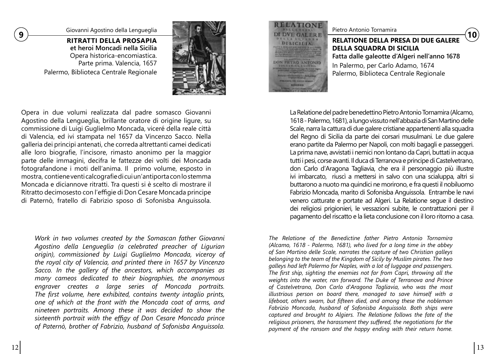**<sup>9</sup>** Giovanni Agostino della Lengueglia

**RITRATTI DELLA PROSAPIA et heroi Moncadi nella Sicilia** Opera historica-encomiastica. Parte prima. Valencia, 1657 Palermo, Biblioteca Centrale Regionale



Opera in due volumi realizzata dal padre somasco Giovanni Agostino della Lengueglia, brillante oratore di origine ligure, su commissione di Luigi Guglielmo Moncada, viceré della reale città di Valencia, ed ivi stampata nel 1657 da Vincenzo Sacco. Nella galleria dei principi antenati, che correda altrettanti camei dedicati alle loro biografie, l'incisore, rimasto anonimo per la maggior parte delle immagini, decifra le fattezze dei volti dei Moncada fotografandone i moti dell'anima. Il primo volume, esposto in mostra, contiene venti calcografie di cui un'antiporta con lo stemma Moncada e diciannove ritratti. Tra questi si è scelto di mostrare il Ritratto decimosesto con l'effigie di Don Cesare Moncada principe di Paternò, fratello di Fabrizio sposo di Sofonisba Anguissola.

*Work in two volumes created by the Somascan father Giovanni Agostino della Lengueglia (a celebrated preacher of Ligurian origin), commissioned by Luigi Guglielmo Moncada, viceroy of the royal city of Valencia, and printed there in 1657 by Vincenzo Sacco. In the gallery of the ancestors, which accompanies as many cameos dedicated to their biographies, the anonymous engraver creates a large series of Moncada portraits. The first volume, here exhibited, contains twenty intaglio prints, one of which at the front with the Moncada coat of arms, and nineteen portraits. Among these it was decided to show the sixteenth portrait with the effigy of Don Cesare Moncada prince of Paternò, brother of Fabrizio, husband of Sofonisba Anguissola.*

ELATIONE **DVE GALERE DISICILIA** ON PIETRO ANTONIO

Pietro Antonio Tornamira<br>**RELATIONE DELLA PRESA DI DUE GALERE DELLA SQUADRA DI SICILIA Fatta dalle galeotte d'Algeri nell'anno 1678** In Palermo, per Carlo Adamo, 1674 Palermo, Biblioteca Centrale Regionale

La Relatione del padre benedettino Pietro Antonio Tornamira (Alcamo, 1618 - Palermo, 1681), a lungo vissuto nell'abbazia di San Martino delle Scale, narra la cattura di due galere cristiane appartenenti alla squadra del Regno di Sicilia da parte dei corsari musulmani. Le due galere erano partite da Palermo per Napoli, con molti bagagli e passeggeri. La prima nave, avvistati i nemici non lontano da Capri, buttati in acqua tutti i pesi, corse avanti. Il duca di Terranova e principe di Castelvetrano, don Carlo d'Aragona Tagliavia, che era il personaggio più illustre ivi imbarcato, riuscì a mettersi in salvo con una scialuppa, altri si buttarono a nuoto ma quindici ne morirono, e fra questi il nobiluomo Fabrizio Moncada, marito di Sofonisba Anguissola. Entrambe le navi venero catturate e portate ad Algeri. La Relatione segue il destino dei religiosi prigionieri, le vessazioni subite, le contrattazioni per il pagamento del riscatto e la lieta conclusione con il loro ritorno a casa.

*The Relatione of the Benedictine father Pietro Antonio Tornamira (Alcamo, 1618 - Palermo, 1681), who lived for a long time in the abbey of San Martino delle Scale, narrates the capture of two Christian galleys belonging to the team of the Kingdom of Sicily by Muslim pirates. The two galleys had left Palermo for Naples, with a lot of luggage and passengers. The first ship, sighting the enemies not far from Capri, throwing all the weights into the water, ran forward. The Duke of Terranova and Prince of Castelvetrano, Don Carlo d'Aragona Tagliavia, who was the most illustrious person on board there, managed to save himself with a lifeboat, others swam, but fifteen died, and among these the nobleman Fabrizio Moncada, husband of Sofonisba Anguissola. Both ships were captured and brought to Algiers. The Relatione follows the fate of the religious prisoners, the harassment they suffered, the negotiations for the payment of the ransom and the happy ending with their return home.*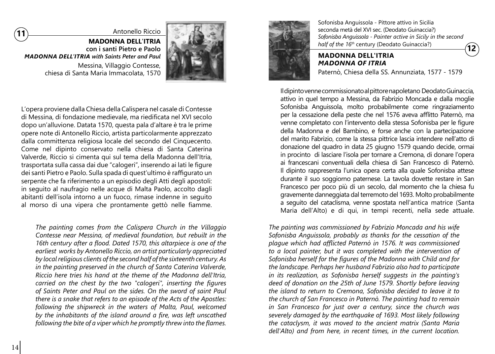

Antonello Riccio

**MADONNA DELL'ITRIA con i santi Pietro e Paolo** *MADONNA DELL'ITRIA with Saints Peter and Paul* Messina, Villaggio Contesse, chiesa di Santa Maria Immacolata, 1570



L'opera proviene dalla Chiesa della Calispera nel casale di Contesse di Messina, di fondazione medievale, ma riedificata nel XVI secolo dopo un'alluvione. Datata 1570, questa pala d'altare è tra le prime opere note di Antonello Riccio, artista particolarmente apprezzato dalla committenza religiosa locale del secondo del Cinquecento. Come nel dipinto conservato nella chiesa di Santa Caterina Valverde, Riccio si cimenta qui sul tema della Madonna dell'Itria, trasportata sulla cassa dai due "calogeri", inserendo ai lati le figure dei santi Pietro e Paolo. Sulla spada di quest'ultimo è raffigurato un serpente che fa riferimento a un episodio degli Atti degli apostoli: in seguito al naufragio nelle acque di Malta Paolo, accolto dagli abitanti dell'isola intorno a un fuoco, rimase indenne in seguito al morso di una vipera che prontamente gettò nelle fiamme.

*The painting comes from the Calispera Church in the Villaggio Contesse near Messina, of medieval foundation, but rebuilt in the 16th century after a flood. Dated 1570, this altarpiece is one of the earliest works by Antonello Riccio, an artist particularly appreciated by local religious clients of the second half of the sixteenth century. As in the painting preserved in the church of Santa Caterina Valverde, Riccio here tries his hand at the theme of the Madonna dell'Itria, carried on the chest by the two "calogeri", inserting the figures of Saints Peter and Paul on the sides. On the sword of saint Paul there is a snake that refers to an episode of the Acts of the Apostles: following the shipwreck in the waters of Malta, Paul, welcomed by the inhabitants of the island around a fire, was left unscathed following the bite of a viper which he promptly threw into the flames.*



Sofonisba Anguissola - Pittore attivo in Sicilia seconda metà del XVI sec. (Deodato Guinaccia?) *Sofonisba Anguissola - Painter active in Sicily in the second half of the 16th* century (Deodato Guinaccia?)

**12**

### **MADONNA DELL'ITRIA** *MADONNA OF ITRIA*

Paternò, Chiesa della SS. Annunziata, 1577 - 1579

Il dipinto venne commissionato al pittore napoletano Deodato Guinaccia, attivo in quel tempo a Messina, da Fabrizio Moncada e dalla moglie Sofonisba Anguissola, molto probabilmente come ringraziamento per la cessazione della peste che nel 1576 aveva afflitto Paternò, ma venne completato con l'intervento della stessa Sofonisba per le figure della Madonna e del Bambino, e forse anche con la partecipazione del marito Fabrizio, come la stessa pittrice lascia intendere nell'atto di donazione del quadro in data 25 giugno 1579 quando decide, ormai in procinto di lasciare l'isola per tornare a Cremona, di donare l'opera ai francescani conventuali della chiesa di San Francesco di Paternò. Il dipinto rappresenta l'unica opera certa alla quale Sofonisba attese durante il suo soggiorno paternese. La tavola dovette restare in San Francesco per poco più di un secolo, dal momento che la chiesa fu gravemente danneggiata dal terremoto del 1693. Molto probabilmente a seguito del cataclisma, venne spostata nell'antica matrice (Santa Maria dell'Alto) e di qui, in tempi recenti, nella sede attuale.

*The painting was commissioned by Fabrizio Moncada and his wife Sofonisba Anguissola, probably as thanks for the cessation of the plague which had afflicted Paternò in 1576. It was commissioned to a local painter, but it was completed with the intervention of Sofonisba herself for the figures of the Madonna with Child and for the landscape. Perhaps her husband Fabrizio also had to participate in its realization, as Sofonisba herself suggests in the painting's deed of donation on the 25th of June 1579. Shortly before leaving the island to return to Cremona, Sofonisba decided to leave it to the church of San Francesco in Paternò. The painting had to remain in San Francesco for just over a century, since the church was severely damaged by the earthquake of 1693. Most likely following the cataclysm, it was moved to the ancient matrix (Santa Maria dell'Alto) and from here, in recent times, in the current location.*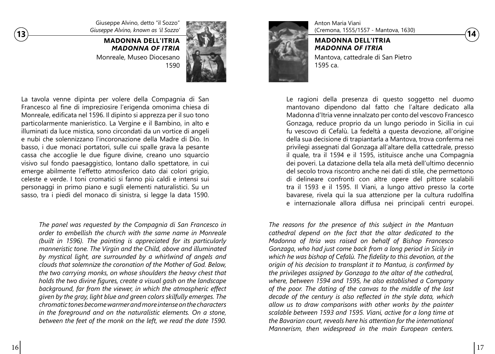Giuseppe Alvino, detto "il Sozzo" *Giuseppe Alvino, known as 'il Sozzo'*

**MADONNA DELL'ITRIA** *MADONNA OF ITRIA* Monreale, Museo Diocesano 1590



La tavola venne dipinta per volere della Compagnia di San Francesco al fine di impreziosire l'erigenda omonima chiesa di Monreale, edificata nel 1596. Il dipinto si apprezza per il suo tono particolarmente manieristico. La Vergine e il Bambino, in alto e illuminati da luce mistica, sono circondati da un vortice di angeli e nubi che solennizzano l'incoronazione della Madre di Dio. In basso, i due monaci portatori, sulle cui spalle grava la pesante cassa che accoglie le due figure divine, creano uno squarcio visivo sul fondo paesaggistico, lontano dallo spettatore, in cui emerge abilmente l'effetto atmosferico dato dai colori grigio, celeste e verde. I toni cromatici si fanno più caldi e intensi sui personaggi in primo piano e sugli elementi naturalistici. Su un sasso, tra i piedi del monaco di sinistra, si legge la data 1590.

*The panel was requested by the Compagnia di San Francesco in order to embellish the church with the same name in Monreale (built in 1596). The painting is appreciated for its particularly manneristic tone. The Virgin and the Child, above and illuminated by mystical light, are surrounded by a whirlwind of angels and clouds that solemnize the coronation of the Mother of God. Below, the two carrying monks, on whose shoulders the heavy chest that holds the two divine figures, create a visual gash on the landscape background, far from the viewer, in which the atmospheric effect given by the gray, light blue and green colors skilfully emerges. The chromatic tones become warmer and more intense on the characters in the foreground and on the naturalistic elements. On a stone, between the feet of the monk on the left, we read the date 1590.*



Anton Maria Viani (Cremona, 1555/1557 - Mantova, 1630)

**MADONNA DELL'ITRIA**  *MADONNA OF ITRIA* Mantova, cattedrale di San Pietro 1595 ca.

Le ragioni della presenza di questo soggetto nel duomo mantovano dipendono dal fatto che l'altare dedicato alla Madonna d'Itria venne innalzato per conto del vescovo Francesco Gonzaga, reduce proprio da un lungo periodo in Sicilia in cui fu vescovo di Cefalù. La fedeltà a questa devozione, all'origine della sua decisione di trapiantarla a Mantova, trova conferma nei privilegi assegnati dal Gonzaga all'altare della cattedrale, presso il quale, tra il 1594 e il 1595, istituisce anche una Compagnia dei poveri. La datazione della tela alla metà dell'ultimo decennio del secolo trova riscontro anche nei dati di stile, che permettono di delineare confronti con altre opere del pittore scalabili tra il 1593 e il 1595. Il Viani, a lungo attivo presso la corte bavarese, rivela qui la sua attenzione per la cultura rudolfina e internazionale allora diffusa nei principali centri europei.

*The reasons for the presence of this subject in the Mantuan cathedral depend on the fact that the altar dedicated to the Madonna of Itria was raised on behalf of Bishop Francesco Gonzaga, who had just come back from a long period in Sicily in which he was bishop of Cefalù. The fidelity to this devotion, at the origin of his decision to transplant it to Mantua, is confirmed by the privileges assigned by Gonzaga to the altar of the cathedral, where, between 1594 and 1595, he also established a Company of the poor. The dating of the canvas to the middle of the last decade of the century is also reflected in the style data, which allow us to draw comparisons with other works by the painter scalable between 1593 and 1595. Viani, active for a long time at the Bavarian court, reveals here his attention for the international Mannerism, then widespread in the main European centers.*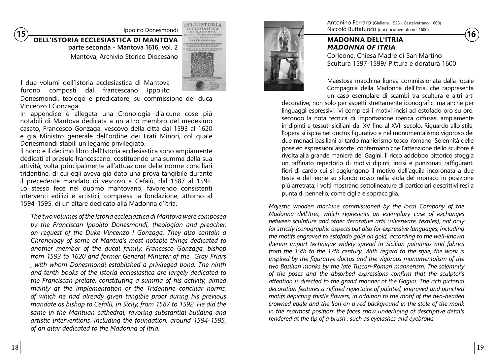**15** Ippolito Donesmondi<br> **15 DELL'ISTORIA ECCLESIASTICA DI MANTOVA CONSUMITY AND ANTIFORIA CONSUMITY OF THE COLORESIASTICA DI MANTOVA parte seconda - Mantova 1616, vol. 2**  Mantova, Archivio Storico Diocesano



I due volumi dell'Istoria ecclesiastica di Mantova furono composti dal francescano Ippolito

Donesmondi, teologo e predicatore, su commissione del duca Vincenzo I Gonzaga.

In appendice è allegata una Cronologia d'alcune cose più notabili di Mantova dedicata a un altro membro del medesimo casato, Francesco Gonzaga, vescovo della città dal 1593 al 1620 e già Ministro generale dell'ordine dei Frati Minori, col quale Donesmondi stabilì un legame privilegiato.

Il nono e il decimo libro dell'Istoria ecclesiastica sono ampiamente dedicati al presule francescano, costituendo una summa della sua attività, volta principalmente all'attuazione delle norme conciliari tridentine, di cui egli aveva già dato una prova tangibile durante il precedente mandato di vescovo a Cefalù, dal 1587 al 1592. Lo stesso fece nel duomo mantovano, favorendo consistenti interventi edilizi e artistici, compresa la fondazione, attorno al 1594-1595, di un altare dedicato alla Madonna d'Itria.

*The two volumes of the Istoria ecclesiastica di Mantova were composed by the Franciscan Ippolito Donesmondi, theologian and preacher, on request of the Duke Vincenzo I Gonzaga. They also contain a Chronology of some of Mantua's most notable things dedicated to another member of the ducal family, Francesco Gonzaga, bishop from 1593 to 1620 and former General Minister of the Gray Friars , with whom Donesmondi established a privileged bond. The ninth and tenth books of the Istoria ecclesiastica are largely dedicated to the Franciscan prelate, constituting a summa of his activity, aimed mainly at the implementation of the Tridentine conciliar norms, of which he had already given tangible proof during his previous mandate as bishop to Cefalù, in Sicily, from 1587 to 1592. He did the same in the Mantuan cathedral, favoring substantial building and artistic interventions, including the foundation, around 1594-1595, of an altar dedicated to the Madonna of Itria.*



Antonino Ferraro (Giuliana, 1523 - Castelvetrano, 1609) Niccolò Buttafuoco (qui documentato nel 1600)

#### **MADONNA DELL'ITRIA** *MADONNA OF ITRIA*

Corleone, Chiesa Madre di San Martino Scultura 1597-1599/ Pittura e doratura 1600

Maestosa macchina lignea commissionata dalla locale Compagnia della Madonna dell'Itria, che rappresenta un caso esemplare di scambi tra scultura e altri arti

decorative, non solo per aspetti strettamente iconografici ma anche per linguaggi espressivi, ivi compresi i motivi incisi ad estofado oro su oro, secondo la nota tecnica di importazione iberica diffusasi ampiamente in dipinti e tessuti siciliani dal XV fino al XVII secolo. Riguardo allo stile, l'opera si ispira nel ductus figurativo e nel monumentalismo vigoroso dei due monaci basiliani al tardo manierismo tosco-romano. Solennità delle pose ed espressioni assorte confermano che l'attenzione dello scultore è rivolta alla grande maniera dei Gagini. Il ricco addobbo pittorico sfoggia un raffinato repertorio di motivi dipinti, incisi e punzonati raffiguranti fiori di cardo cui si aggiungono il motivo dell'aquila incoronata a due teste e del leone su sfondo rosso nella stola del monaco in posizione più arretrata; i volti mostrano sottolineature di particolari descrittivi resi a punta di pennello, come ciglia e sopracciglia.

*Majestic wooden machine commissioned by the local Company of the Madonna dell'Itria, which represents an exemplary case of exchanges between sculpture and other decorative arts (silverware, textiles), not only for strictly iconographic aspects but also for expressive languages, including the motifs engraved to estofado gold on gold, according to the well-known Iberian import technique widely spread in Sicilian paintings and fabrics from the 15th to the 17th century. With regard to the style, the work is inspired by the figurative ductus and the vigorous monumentalism of the two Basilian monks by the late Tuscan-Roman mannerism. The solemnity of the poses and the absorbed expressions confirm that the sculptor's attention is directed to the grand manner of the Gagini. The rich pictorial decoration features a refined repertoire of painted, engraved and punched motifs depicting thistle flowers, in addition to the motif of the two-headed crowned eagle and the lion on a red background in the stole of the monk in the rearmost position; the faces show underlining of descriptive details rendered at the tip of a brush , such as eyelashes and eyebrows.*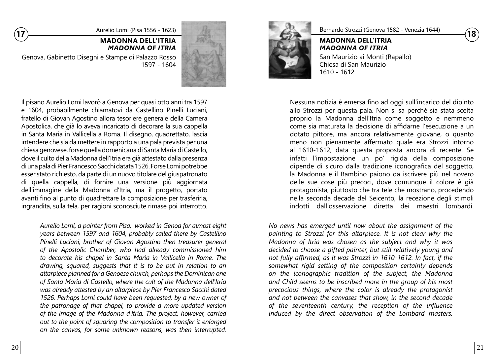

#### **MADONNA DELL'ITRIA** *MADONNA OF ITRIA*

Genova, Gabinetto Disegni e Stampe di Palazzo Rosso 1597 - 1604



Il pisano Aurelio Lomi lavorò a Genova per quasi otto anni tra 1597 e 1604, probabilmente chiamatovi da Castellino Pinelli Luciani, fratello di Giovan Agostino allora tesoriere generale della Camera Apostolica, che già lo aveva incaricato di decorare la sua cappella in Santa Maria in Vallicella a Roma. Il disegno, quadrettato, lascia intendere che sia da mettere in rapporto a una pala prevista per una chiesa genovese, forse quella domenicana di Santa Maria di Castello, dove il culto della Madonna dell'Itria era già attestato dalla presenza di una pala di Pier Francesco Sacchi datata 1526. Forse Lomi potrebbe esser stato richiesto, da parte di un nuovo titolare del giuspatronato di quella cappella, di fornire una versione più aggiornata dell'immagine della Madonna d'Itria, ma il progetto, portato avanti fino al punto di quadrettare la composizione per trasferirla, ingrandita, sulla tela, per ragioni sconosciute rimase poi interrotto.

*Aurelio Lomi, a painter from Pisa, worked in Genoa for almost eight years between 1597 and 1604, probably called there by Castellino Pinelli Luciani, brother of Giovan Agostino then treasurer general of the Apostolic Chamber, who had already commissioned him to decorate his chapel in Santa Maria in Vallicella in Rome. The drawing, squared, suggests that it is to be put in relation to an altarpiece planned for a Genoese church, perhaps the Dominican one of Santa Maria di Castello, where the cult of the Madonna dell'Itria was already attested by an altarpiece by Pier Francesco Sacchi dated 1526. Perhaps Lomi could have been requested, by a new owner of the patronage of that chapel, to provide a more updated version of the image of the Madonna d'Itria. The project, however, carried out to the point of squaring the composition to transfer it enlarged on the canvas, for some unknown reasons, was then interrupted.*



Bernardo Strozzi (Genova 1582 - Venezia 1644)

**MADONNA DELL'ITRIA** *MADONNA OF ITRIA* San Maurizio ai Monti (Rapallo) Chiesa di San Maurizio 1610 - 1612

Nessuna notizia è emersa fino ad oggi sull'incarico del dipinto allo Strozzi per questa pala. Non si sa perché sia stata scelta proprio la Madonna dell'Itria come soggetto e nemmeno come sia maturata la decisione di affidarne l'esecuzione a un dotato pittore, ma ancora relativamente giovane, o quanto meno non pienamente affermato quale era Strozzi intorno al 1610-1612, data questa proposta ancora di recente. Se infatti l'impostazione un po' rigida della composizione dipende di sicuro dalla tradizione iconografica del soggetto, la Madonna e il Bambino paiono da iscrivere più nel novero delle sue cose più precoci, dove comunque il colore è già protagonista, piuttosto che tra tele che mostrano, procedendo nella seconda decade del Seicento, la recezione degli stimoli indotti dall'osservazione diretta dei maestri lombardi.

*No news has emerged until now about the assignment of the painting to Strozzi for this altarpiece. It is not clear why the Madonna of Itria was chosen as the subject and why it was decided to choose a gifted painter, but still relatively young and not fully affirmed, as it was Strozzi in 1610-1612. In fact, if the somewhat rigid setting of the composition certainly depends on the iconographic tradition of the subject, the Madonna and Child seems to be inscribed more in the group of his most precocious things, where the color is already the protagonist and not between the canvases that show, in the second decade of the seventeenth century, the reception of the influence induced by the direct observation of the Lombard masters.*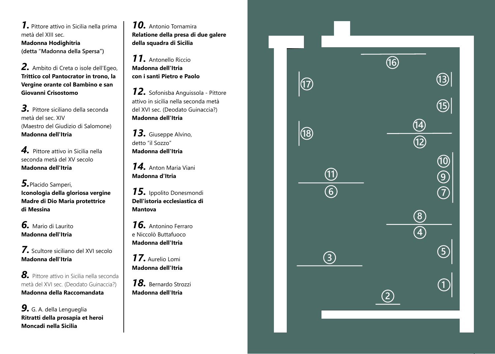*1.* Pittore attivo in Sicilia nella prima metà del XIII sec. **Madonna Hodighítria (detta "Madonna della Spersa")**

*2.* Ambito di Creta o isole dell'Egeo, **Trittico col Pantocrator in trono, la Vergine orante col Bambino e san Giovanni Crisostomo** 

*3.* Pittore siciliano della seconda metà del sec. XIV (Maestro del Giudizio di Salomone) **Madonna dell'Itria** 

*4.* Pittore attivo in Sicilia nella seconda metà del XV secolo **Madonna dell'Itria**

*5.*Placido Samperi, **Iconologia della gloriosa vergine Madre di Dio Maria protettrice di Messina**

*6.* Mario di Laurito **Madonna dell'Itria** 

*7.* Scultore siciliano del XVI secolo **Madonna dell'Itria**

*8.* Pittore attivo in Sicilia nella seconda metà del XVI sec. (Deodato Guinaccia?) **Madonna della Raccomandata**

*9.* G. A. della Lengueglia **Ritratti della prosapia et heroi Moncadi nella Sicilia**

*10.* Antonio Tornamira **Relatione della presa di due galere della squadra di Sicilia**

*11.* Antonello Riccio **Madonna dell'Itria con i santi Pietro e Paolo**

*12.* Sofonisba Anguissola - Pittore attivo in sicilia nella seconda metà del XVI sec. (Deodato Guinaccia?) **Madonna dell'Itria** 

*13.* Giuseppe Alvino, detto "il Sozzo" **Madonna dell'Itria**

*14.* Anton Maria Viani **Madonna d'Itria**

*15.* Ippolito Donesmondi **Dell'istoria ecclesiastica di Mantova**

*16.* Antonino Ferraro e Niccolò Buttafuoco **Madonna dell'Itria** 

*17.* Aurelio Lomi **Madonna dell'Itria** 

*18.* Bernardo Strozzi **Madonna dell 'Itria**

|                          |                                       | $\overline{\textcircled{\tiny{f}}}$ |                                       |                                                                                                                                                                                                                                                                                                                                               |
|--------------------------|---------------------------------------|-------------------------------------|---------------------------------------|-----------------------------------------------------------------------------------------------------------------------------------------------------------------------------------------------------------------------------------------------------------------------------------------------------------------------------------------------|
| $\Bigg  \textcircled{1}$ |                                       |                                     |                                       | [3]<br>[13]                                                                                                                                                                                                                                                                                                                                   |
|                          |                                       |                                     |                                       |                                                                                                                                                                                                                                                                                                                                               |
|                          |                                       |                                     |                                       |                                                                                                                                                                                                                                                                                                                                               |
| 10                       |                                       |                                     | $\frac{\overline{13}}{\overline{12}}$ |                                                                                                                                                                                                                                                                                                                                               |
|                          |                                       |                                     |                                       |                                                                                                                                                                                                                                                                                                                                               |
|                          |                                       |                                     |                                       | (10)<br>(2)<br>(7)                                                                                                                                                                                                                                                                                                                            |
|                          | $\frac{\overline{11}}{\overline{10}}$ |                                     |                                       |                                                                                                                                                                                                                                                                                                                                               |
|                          |                                       |                                     |                                       |                                                                                                                                                                                                                                                                                                                                               |
|                          |                                       |                                     | $\circledS$<br>$\widehat{A}$          |                                                                                                                                                                                                                                                                                                                                               |
|                          |                                       |                                     |                                       |                                                                                                                                                                                                                                                                                                                                               |
|                          | $\bigcirc$                            |                                     |                                       |                                                                                                                                                                                                                                                                                                                                               |
|                          |                                       |                                     |                                       | $\begin{picture}(20,20) \put(0,0){\line(1,0){155}} \put(15,0){\line(1,0){155}} \put(15,0){\line(1,0){155}} \put(15,0){\line(1,0){155}} \put(15,0){\line(1,0){155}} \put(15,0){\line(1,0){155}} \put(15,0){\line(1,0){155}} \put(15,0){\line(1,0){155}} \put(15,0){\line(1,0){155}} \put(15,0){\line(1,0){155}} \put(15,0){\line(1,0){155}} \$ |
|                          |                                       | $\widehat{\mathcal{C}}$             |                                       |                                                                                                                                                                                                                                                                                                                                               |
|                          |                                       |                                     |                                       |                                                                                                                                                                                                                                                                                                                                               |